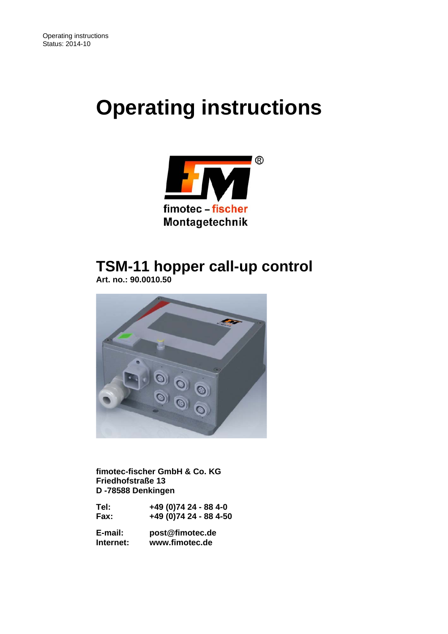# **Operating instructions**



## **TSM-11 hopper call-up control**

 **Art. no.: 90.0010.50** 



 **fimotec-fischer GmbH & Co. KG Friedhofstraße 13 D -78588 Denkingen** 

| Tel: | +49 (0)74 24 - 88 4-0  |
|------|------------------------|
| Fax: | +49 (0)74 24 - 88 4-50 |

 **E-mail: post@fimotec.de Internet: www.fimotec.de**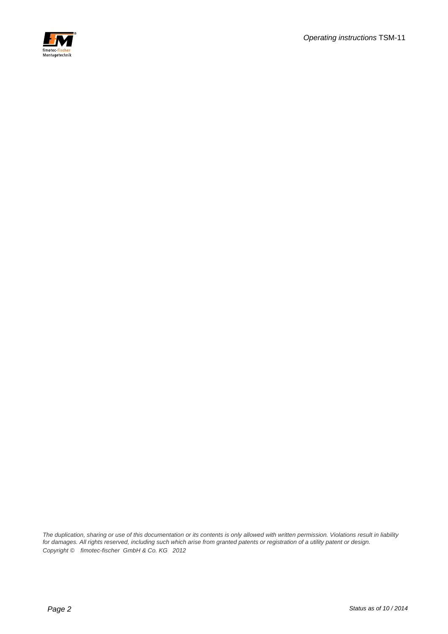

*The duplication, sharing or use of this documentation or its contents is only allowed with written permission. Violations result in liability*  for damages. All rights reserved, including such which arise from granted patents or registration of a utility patent or design. *Copyright © fimotec-fischer GmbH & Co. KG 2012*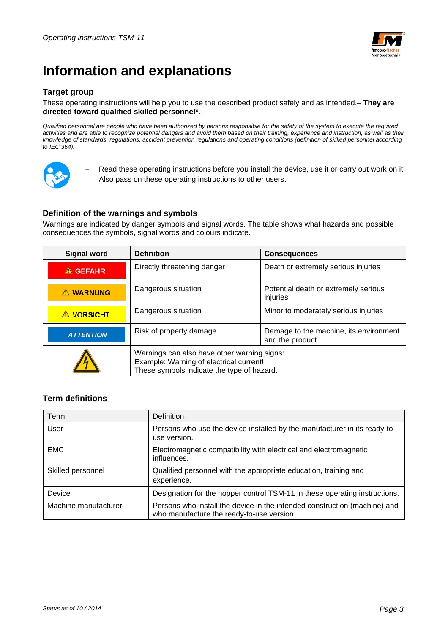

## **Information and explanations**

### **Target group**

#### These operating instructions will help you to use the described product safely and as intended. **They are directed toward qualified skilled personnel\*.**

*Qualified personnel are people who have been authorized by persons responsible for the safety of the system to execute the required*  activities and are able to recognize potential dangers and avoid them based on their training, experience and instruction, as well as their *knowledge of standards, regulations, accident prevention regulations and operating conditions (definition of skilled personnel according to IEC 364).* 



- Read these operating instructions before you install the device, use it or carry out work on it.
- Also pass on these operating instructions to other users.

### **Definition of the warnings and symbols**

Warnings are indicated by danger symbols and signal words. The table shows what hazards and possible consequences the symbols, signal words and colours indicate.

| <b>Signal word</b> | <b>Definition</b>                                                                                                                    | <b>Consequences</b>                              |
|--------------------|--------------------------------------------------------------------------------------------------------------------------------------|--------------------------------------------------|
| <b>A</b> GEFAHR    | Directly threatening danger                                                                                                          | Death or extremely serious injuries              |
| <b>A WARNUNG</b>   | Dangerous situation                                                                                                                  | Potential death or extremely serious<br>injuries |
| <b>A VORSICHT</b>  | Dangerous situation                                                                                                                  | Minor to moderately serious injuries             |
| <b>ATTENTION</b>   | Damage to the machine, its environment<br>Risk of property damage<br>and the product                                                 |                                                  |
|                    | Warnings can also have other warning signs:<br>Example: Warning of electrical current!<br>These symbols indicate the type of hazard. |                                                  |

#### **Term definitions**

| Term                 | <b>Definition</b>                                                                                                      |
|----------------------|------------------------------------------------------------------------------------------------------------------------|
| User                 | Persons who use the device installed by the manufacturer in its ready-to-<br>use version.                              |
| <b>EMC</b>           | Electromagnetic compatibility with electrical and electromagnetic<br>influences.                                       |
| Skilled personnel    | Qualified personnel with the appropriate education, training and<br>experience.                                        |
| Device               | Designation for the hopper control TSM-11 in these operating instructions.                                             |
| Machine manufacturer | Persons who install the device in the intended construction (machine) and<br>who manufacture the ready-to-use version. |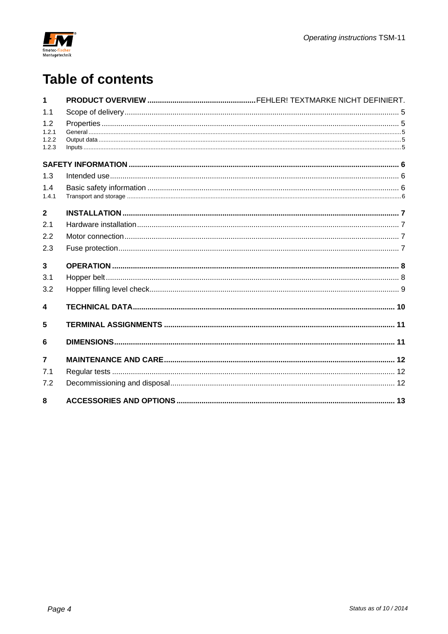![](_page_3_Picture_0.jpeg)

## **Table of contents**

| 1              |  |
|----------------|--|
| 1.1            |  |
| 1.2            |  |
| 1.2.1          |  |
| 1.2.2<br>1.2.3 |  |
|                |  |
| 1.3            |  |
| 1.4            |  |
| 1.4.1          |  |
| $\mathbf{2}$   |  |
| 2.1            |  |
| 2.2            |  |
| 2.3            |  |
| $\overline{3}$ |  |
| 3.1            |  |
| 3.2            |  |
| 4              |  |
| 5              |  |
| 6              |  |
| $\overline{7}$ |  |
| 7.1            |  |
| 7.2            |  |
| 8              |  |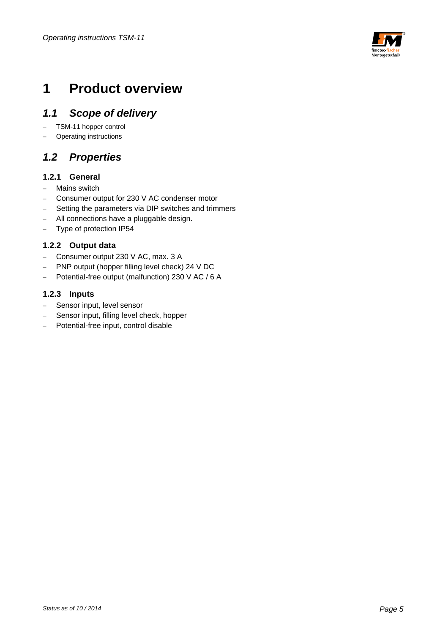![](_page_4_Picture_1.jpeg)

## **1 Product overview**

### *1.1 Scope of delivery*

- TSM-11 hopper control
- Operating instructions

### *1.2 Properties*

### **1.2.1 General**

- Mains switch
- Consumer output for 230 V AC condenser motor
- Setting the parameters via DIP switches and trimmers
- All connections have a pluggable design.
- Type of protection IP54

### **1.2.2 Output data**

- Consumer output 230 V AC, max. 3 A
- PNP output (hopper filling level check) 24 V DC
- Potential-free output (malfunction) 230 V AC / 6 A

### **1.2.3 Inputs**

- Sensor input, level sensor
- Sensor input, filling level check, hopper
- Potential-free input, control disable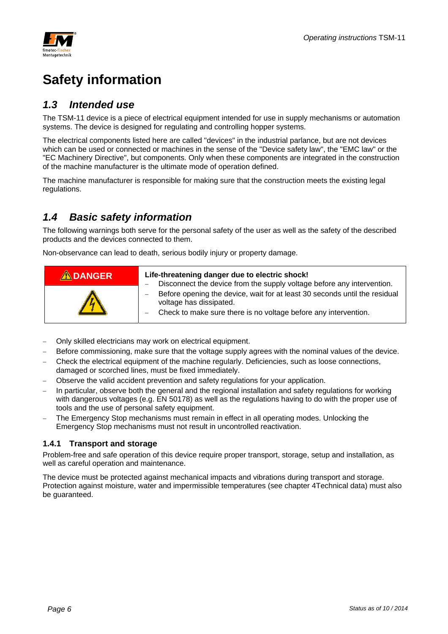![](_page_5_Picture_0.jpeg)

## **Safety information**

### *1.3 Intended use*

The TSM-11 device is a piece of electrical equipment intended for use in supply mechanisms or automation systems. The device is designed for regulating and controlling hopper systems.

The electrical components listed here are called "devices" in the industrial parlance, but are not devices which can be used or connected or machines in the sense of the "Device safety law", the "EMC law" or the "EC Machinery Directive", but components. Only when these components are integrated in the construction of the machine manufacturer is the ultimate mode of operation defined.

The machine manufacturer is responsible for making sure that the construction meets the existing legal regulations.

### *1.4 Basic safety information*

The following warnings both serve for the personal safety of the user as well as the safety of the described products and the devices connected to them.

Non-observance can lead to death, serious bodily injury or property damage.

| <b>ADANGER</b> | Life-threatening danger due to electric shock!<br>Disconnect the device from the supply voltage before any intervention.                                                                             |
|----------------|------------------------------------------------------------------------------------------------------------------------------------------------------------------------------------------------------|
|                | Before opening the device, wait for at least 30 seconds until the residual<br>voltage has dissipated.<br>Check to make sure there is no voltage before any intervention.<br>$\overline{\phantom{0}}$ |

- Only skilled electricians may work on electrical equipment.
- Before commissioning, make sure that the voltage supply agrees with the nominal values of the device.
- Check the electrical equipment of the machine regularly. Deficiencies, such as loose connections, damaged or scorched lines, must be fixed immediately.
- Observe the valid accident prevention and safety regulations for your application.
- In particular, observe both the general and the regional installation and safety regulations for working with dangerous voltages (e.g. EN 50178) as well as the regulations having to do with the proper use of tools and the use of personal safety equipment.
- The Emergency Stop mechanisms must remain in effect in all operating modes. Unlocking the Emergency Stop mechanisms must not result in uncontrolled reactivation.

### **1.4.1 Transport and storage**

Problem-free and safe operation of this device require proper transport, storage, setup and installation, as well as careful operation and maintenance.

The device must be protected against mechanical impacts and vibrations during transport and storage. Protection against moisture, water and impermissible temperatures (see chapter 4Technical data) must also be guaranteed.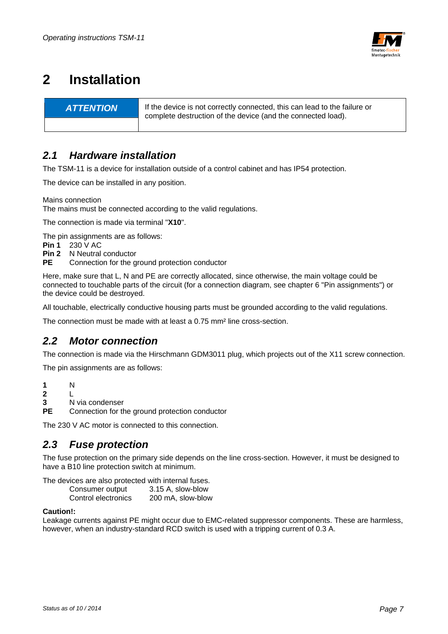![](_page_6_Picture_1.jpeg)

## **2 Installation**

**ATTENTION** If the device is not correctly connected, this can lead to the failure or complete destruction of the device (and the connected load).

### *2.1 Hardware installation*

The TSM-11 is a device for installation outside of a control cabinet and has IP54 protection.

The device can be installed in any position.

Mains connection

The mains must be connected according to the valid regulations.

The connection is made via terminal "**X10**".

The pin assignments are as follows:

**Pin 1** 230 V AC

- **Pin 2** N Neutral conductor
- **PE** Connection for the ground protection conductor

Here, make sure that L, N and PE are correctly allocated, since otherwise, the main voltage could be connected to touchable parts of the circuit (for a connection diagram, see chapter 6 "Pin assignments") or the device could be destroyed.

All touchable, electrically conductive housing parts must be grounded according to the valid regulations.

The connection must be made with at least a 0.75 mm² line cross-section.

### *2.2 Motor connection*

The connection is made via the Hirschmann GDM3011 plug, which projects out of the X11 screw connection.

The pin assignments are as follows:

**1** N **2** L

- **3** N via condenser
- **PE** Connection for the ground protection conductor

The 230 V AC motor is connected to this connection.

### *2.3 Fuse protection*

The fuse protection on the primary side depends on the line cross-section. However, it must be designed to have a B10 line protection switch at minimum.

The devices are also protected with internal fuses.

| Consumer output     | 3.15 A, slow-blow |
|---------------------|-------------------|
| Control electronics | 200 mA, slow-blow |

#### **Caution!:**

Leakage currents against PE might occur due to EMC-related suppressor components. These are harmless, however, when an industry-standard RCD switch is used with a tripping current of 0.3 A.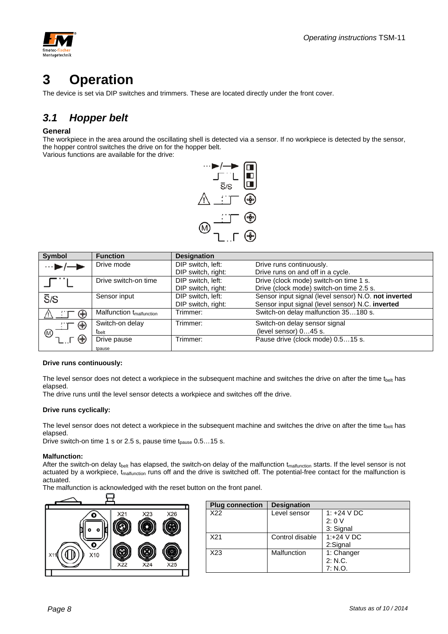![](_page_7_Picture_1.jpeg)

## **3 Operation**

The device is set via DIP switches and trimmers. These are located directly under the front cover.

## *3.1 Hopper belt*

#### **General**

The workpiece in the area around the oscillating shell is detected via a sensor. If no workpiece is detected by the sensor, the hopper control switches the drive on for the hopper belt.

Various functions are available for the drive:

![](_page_7_Figure_8.jpeg)

| <b>Symbol</b>    | <b>Function</b>                      | <b>Designation</b> |                                                      |
|------------------|--------------------------------------|--------------------|------------------------------------------------------|
| …∎               | Drive mode                           | DIP switch, left:  | Drive runs continuously.                             |
|                  |                                      | DIP switch, right: | Drive runs on and off in a cycle.                    |
|                  | Drive switch-on time                 | DIP switch, left:  | Drive (clock mode) switch-on time 1 s.               |
|                  |                                      | DIP switch, right: | Drive (clock mode) switch-on time 2.5 s.             |
| $\overline{S}/S$ | Sensor input                         | DIP switch, left:  | Sensor input signal (level sensor) N.O. not inverted |
|                  |                                      | DIP switch, right: | Sensor input signal (level sensor) N.C. inverted     |
| (♣)              | Malfunction t <sub>malfunction</sub> | Trimmer:           | Switch-on delay malfunction 35180 s.                 |
| ⊕                | Switch-on delay                      | Trimmer:           | Switch-on delay sensor signal                        |
| (M)              | t <sub>belt</sub>                    |                    | (level sensor) 045 s.                                |
| (∯               | Drive pause                          | Trimmer:           | Pause drive (clock mode) 0.515 s.                    |
|                  | tpause                               |                    |                                                      |

#### **Drive runs continuously:**

The level sensor does not detect a workpiece in the subsequent machine and switches the drive on after the time  $t_{\rm belt}$  has elapsed.

The drive runs until the level sensor detects a workpiece and switches off the drive.

#### **Drive runs cyclically:**

The level sensor does not detect a workpiece in the subsequent machine and switches the drive on after the time  $t_{\rm belt}$  has elapsed.

Drive switch-on time 1 s or 2.5 s, pause time  $t_{\text{parse}}$  0.5...15 s.

#### **Malfunction:**

After the switch-on delay t<sub>belt</sub> has elapsed, the switch-on delay of the malfunction  $t_{\text{matrix}}$  starts. If the level sensor is not actuated by a workpiece, t<sub>malfunction</sub> runs off and the drive is switched off. The potential-free contact for the malfunction is actuated.

The malfunction is acknowledged with the reset button on the front panel.

![](_page_7_Figure_19.jpeg)

| <b>Plug connection</b> | <b>Designation</b> |               |
|------------------------|--------------------|---------------|
| X22                    | Level sensor       | 1: $+24$ V DC |
|                        |                    | 2:0V          |
|                        |                    | 3: Signal     |
| X21                    | Control disable    | 1:+24 V DC    |
|                        |                    | 2:Signal      |
| X <sub>23</sub>        | Malfunction        | 1: Changer    |
|                        |                    | 2: N.C.       |
|                        |                    | 7: N.O.       |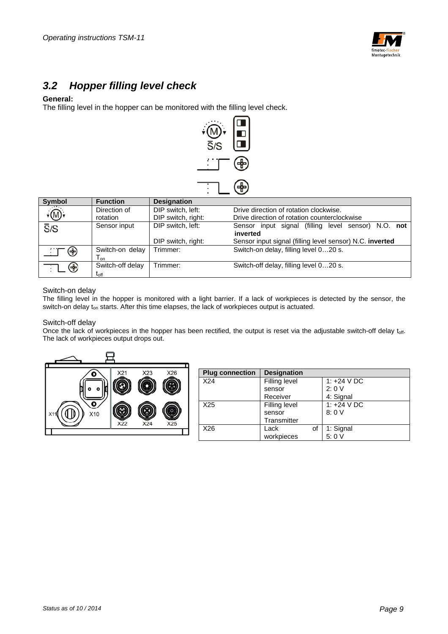![](_page_8_Picture_1.jpeg)

### *3.2 Hopper filling level check*

#### **General:**

The filling level in the hopper can be monitored with the filling level check.

![](_page_8_Figure_5.jpeg)

| <b>Symbol</b>                          | <b>Function</b>  | <b>Designation</b> |                                                          |
|----------------------------------------|------------------|--------------------|----------------------------------------------------------|
| $\overline{\widehat{\mathbb{D}}\cdot}$ | Direction of     | DIP switch, left:  | Drive direction of rotation clockwise.                   |
|                                        | rotation         | DIP switch, right: | Drive direction of rotation counterclockwise             |
| $\overline{S}/S$                       | Sensor input     | DIP switch, left:  | Sensor input signal (filling level sensor) N.O. not      |
|                                        |                  |                    | inverted                                                 |
|                                        |                  | DIP switch, right: | Sensor input signal (filling level sensor) N.C. inverted |
| ⊕                                      | Switch-on delay  | Trimmer:           | Switch-on delay, filling level 020 s.                    |
|                                        | l on             |                    |                                                          |
| ⊕                                      | Switch-off delay | Trimmer:           | Switch-off delay, filling level 020 s.                   |
|                                        | $t_{\rm off}$    |                    |                                                          |

#### Switch-on delay

The filling level in the hopper is monitored with a light barrier. If a lack of workpieces is detected by the sensor, the switch-on delay t<sub>on</sub> starts. After this time elapses, the lack of workpieces output is actuated.

#### Switch-off delay

Once the lack of workpieces in the hopper has been rectified, the output is reset via the adjustable switch-off delay toff. The lack of workpieces output drops out.

![](_page_8_Figure_11.jpeg)

| <b>Plug connection</b> | <b>Designation</b> |               |
|------------------------|--------------------|---------------|
| X24                    | Filling level      | 1: $+24$ V DC |
|                        | sensor             | 2:0V          |
|                        | Receiver           | 4: Signal     |
| X <sub>25</sub>        | Filling level      | 1: $+24$ V DC |
|                        | sensor             | 8:0V          |
|                        | Transmitter        |               |
| X26                    | Lack<br>of         | 1: Signal     |
|                        | workpieces         | 5:0V          |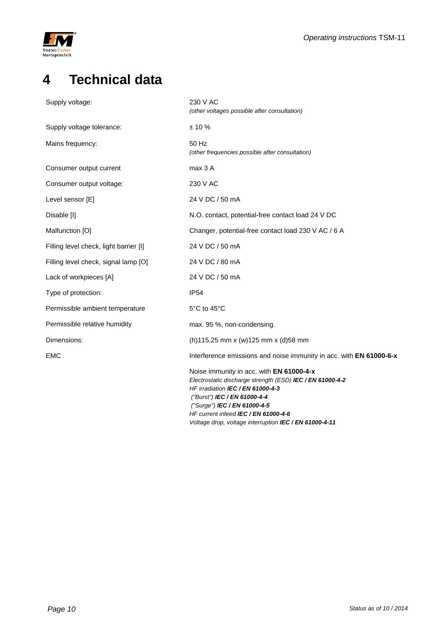![](_page_9_Picture_0.jpeg)

## **4 Technical data**

| Supply voltage:                        | 230 V AC                                                                                                                                                                                                                                                                                                     |
|----------------------------------------|--------------------------------------------------------------------------------------------------------------------------------------------------------------------------------------------------------------------------------------------------------------------------------------------------------------|
|                                        | (other voltages possible after consultation)                                                                                                                                                                                                                                                                 |
| Supply voltage tolerance:              | $± 10 \%$                                                                                                                                                                                                                                                                                                    |
| Mains frequency:                       | 50 Hz<br>(other frequencies possible after consultation)                                                                                                                                                                                                                                                     |
| Consumer output current                | max 3 A                                                                                                                                                                                                                                                                                                      |
| Consumer output voltage:               | 230 V AC                                                                                                                                                                                                                                                                                                     |
| Level sensor [E]                       | 24 V DC / 50 mA                                                                                                                                                                                                                                                                                              |
| Disable [I]                            | N.O. contact, potential-free contact load 24 V DC                                                                                                                                                                                                                                                            |
| Malfunction [O]                        | Changer, potential-free contact load 230 V AC / 6 A                                                                                                                                                                                                                                                          |
| Filling level check, light barrier [I] | 24 V DC / 50 mA                                                                                                                                                                                                                                                                                              |
| Filling level check, signal lamp [O]   | 24 V DC / 80 mA                                                                                                                                                                                                                                                                                              |
| Lack of workpieces [A]                 | 24 V DC / 50 mA                                                                                                                                                                                                                                                                                              |
| Type of protection:                    | <b>IP54</b>                                                                                                                                                                                                                                                                                                  |
| Permissible ambient temperature        | 5°C to 45°C                                                                                                                                                                                                                                                                                                  |
| Permissible relative humidity          | max. 95 %, non-condensing.                                                                                                                                                                                                                                                                                   |
| Dimensions:                            | (h)115,25 mm x (w)125 mm x (d)58 mm                                                                                                                                                                                                                                                                          |
| <b>EMC</b>                             | Interference emissions and noise immunity in acc. with EN 61000-6-x                                                                                                                                                                                                                                          |
|                                        | Noise immunity in acc. with EN 61000-4-x<br>Electrostatic discharge strength (ESD) IEC / EN 61000-4-2<br>HF irradiation IEC / EN 61000-4-3<br>("Burst") IEC / EN 61000-4-4<br>("Surge") IEC / EN 61000-4-5<br>HF current infeed IEC / EN 61000-4-6<br>Voltage drop, voltage interruption IEC / EN 61000-4-11 |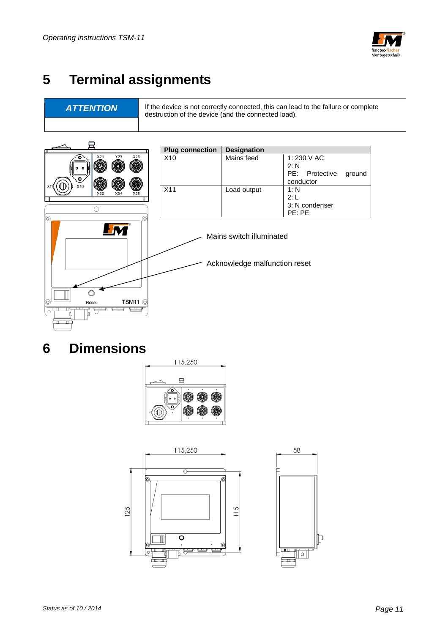![](_page_10_Picture_1.jpeg)

## **5 Terminal assignments**

**ATTENTION** If the device is not correctly connected, this can lead to the failure or complete destruction of the device (and the connected load).

![](_page_10_Figure_5.jpeg)

## **6 Dimensions**

![](_page_10_Picture_7.jpeg)

![](_page_10_Figure_8.jpeg)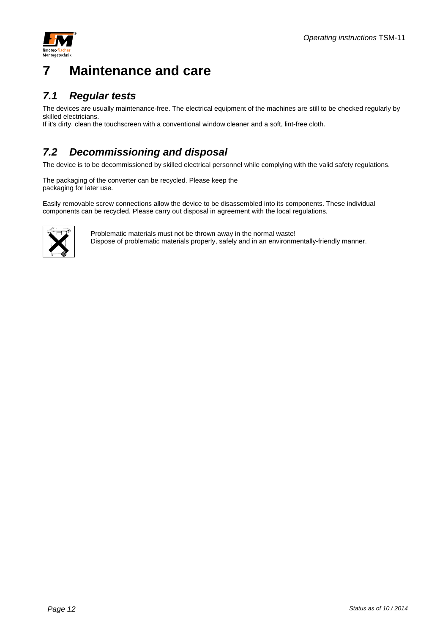![](_page_11_Picture_1.jpeg)

## **7 Maintenance and care**

### *7.1 Regular tests*

The devices are usually maintenance-free. The electrical equipment of the machines are still to be checked regularly by skilled electricians. If it's dirty, clean the touchscreen with a conventional window cleaner and a soft, lint-free cloth.

### *7.2 Decommissioning and disposal*

The device is to be decommissioned by skilled electrical personnel while complying with the valid safety regulations.

The packaging of the converter can be recycled. Please keep the packaging for later use.

Easily removable screw connections allow the device to be disassembled into its components. These individual components can be recycled. Please carry out disposal in agreement with the local regulations.

![](_page_11_Picture_9.jpeg)

Problematic materials must not be thrown away in the normal waste! Dispose of problematic materials properly, safely and in an environmentally-friendly manner.